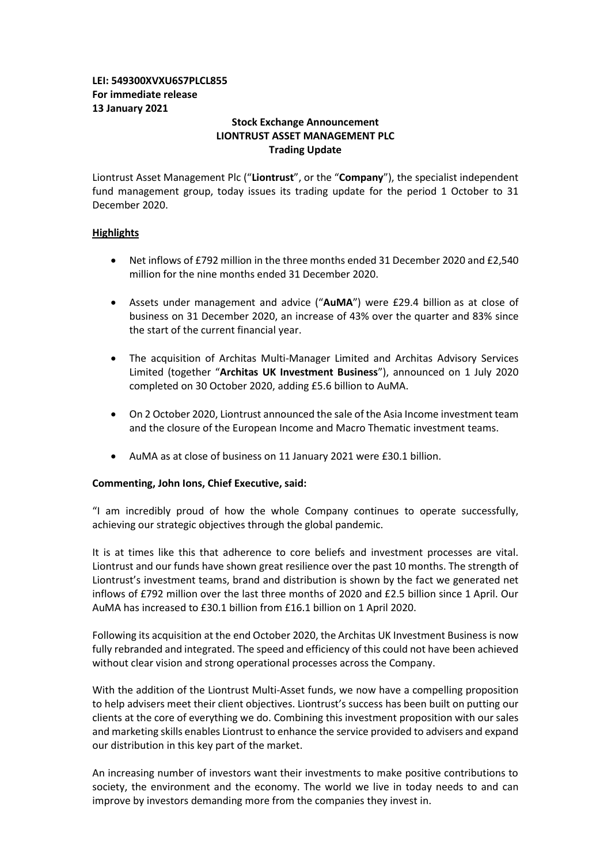# **LEI: 549300XVXU6S7PLCL855 For immediate release 13 January 2021**

## **Stock Exchange Announcement LIONTRUST ASSET MANAGEMENT PLC Trading Update**

Liontrust Asset Management Plc ("**Liontrust**", or the "**Company**"), the specialist independent fund management group, today issues its trading update for the period 1 October to 31 December 2020.

## **Highlights**

- Net inflows of £792 million in the three months ended 31 December 2020 and £2,540 million for the nine months ended 31 December 2020.
- Assets under management and advice ("**AuMA**") were £29.4 billion as at close of business on 31 December 2020, an increase of 43% over the quarter and 83% since the start of the current financial year.
- The acquisition of Architas Multi-Manager Limited and Architas Advisory Services Limited (together "**Architas UK Investment Business**"), announced on 1 July 2020 completed on 30 October 2020, adding £5.6 billion to AuMA.
- On 2 October 2020, Liontrust announced the sale of the Asia Income investment team and the closure of the European Income and Macro Thematic investment teams.
- AuMA as at close of business on 11 January 2021 were £30.1 billion.

## **Commenting, John Ions, Chief Executive, said:**

"I am incredibly proud of how the whole Company continues to operate successfully, achieving our strategic objectives through the global pandemic.

It is at times like this that adherence to core beliefs and investment processes are vital. Liontrust and our funds have shown great resilience over the past 10 months. The strength of Liontrust's investment teams, brand and distribution is shown by the fact we generated net inflows of £792 million over the last three months of 2020 and £2.5 billion since 1 April. Our AuMA has increased to £30.1 billion from £16.1 billion on 1 April 2020.

Following its acquisition at the end October 2020, the Architas UK Investment Business is now fully rebranded and integrated. The speed and efficiency of this could not have been achieved without clear vision and strong operational processes across the Company.

With the addition of the Liontrust Multi-Asset funds, we now have a compelling proposition to help advisers meet their client objectives. Liontrust's success has been built on putting our clients at the core of everything we do. Combining this investment proposition with our sales and marketing skills enables Liontrust to enhance the service provided to advisers and expand our distribution in this key part of the market.

An increasing number of investors want their investments to make positive contributions to society, the environment and the economy. The world we live in today needs to and can improve by investors demanding more from the companies they invest in.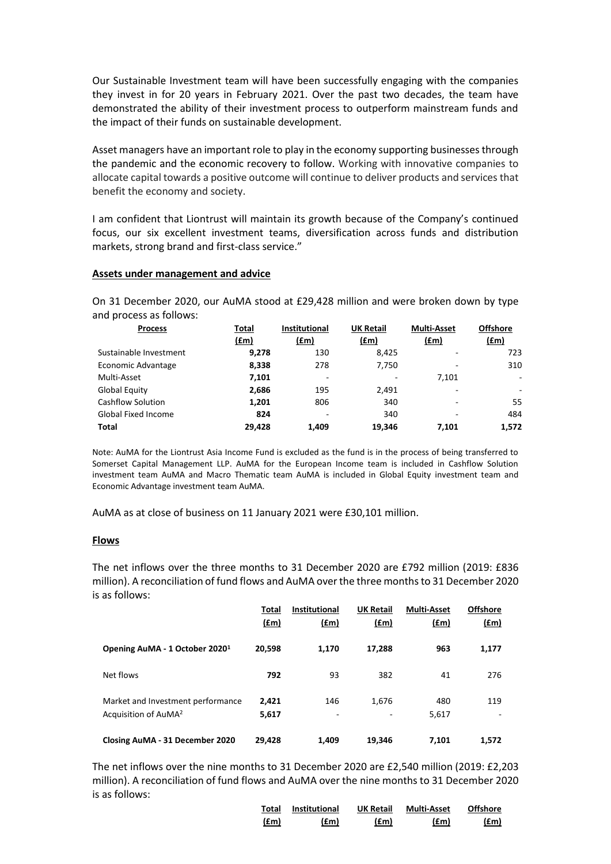Our Sustainable Investment team will have been successfully engaging with the companies they invest in for 20 years in February 2021. Over the past two decades, the team have demonstrated the ability of their investment process to outperform mainstream funds and the impact of their funds on sustainable development.

Asset managers have an important role to play in the economy supporting businesses through the pandemic and the economic recovery to follow. Working with innovative companies to allocate capital towards a positive outcome will continue to deliver products and services that benefit the economy and society.

I am confident that Liontrust will maintain its growth because of the Company's continued focus, our six excellent investment teams, diversification across funds and distribution markets, strong brand and first-class service."

### **Assets under management and advice**

On 31 December 2020, our AuMA stood at £29,428 million and were broken down by type and process as follows:

| <b>Process</b>           | Total  | <b>Institutional</b> | <b>UK Retail</b> | <b>Multi-Asset</b>       | <b>Offshore</b>          |
|--------------------------|--------|----------------------|------------------|--------------------------|--------------------------|
|                          | (£m)   | (f.m)                | (fm)             | (f.m)                    | (f.m)                    |
| Sustainable Investment   | 9,278  | 130                  | 8.425            | $\overline{\phantom{0}}$ | 723                      |
| Economic Advantage       | 8,338  | 278                  | 7,750            |                          | 310                      |
| Multi-Asset              | 7,101  | -                    | ۰                | 7.101                    | $\overline{\phantom{a}}$ |
| Global Equity            | 2,686  | 195                  | 2,491            |                          | ٠                        |
| <b>Cashflow Solution</b> | 1,201  | 806                  | 340              |                          | 55                       |
| Global Fixed Income      | 824    | -                    | 340              |                          | 484                      |
| <b>Total</b>             | 29,428 | 1.409                | 19,346           | 7.101                    | 1,572                    |

Note: AuMA for the Liontrust Asia Income Fund is excluded as the fund is in the process of being transferred to Somerset Capital Management LLP. AuMA for the European Income team is included in Cashflow Solution investment team AuMA and Macro Thematic team AuMA is included in Global Equity investment team and Economic Advantage investment team AuMA.

AuMA as at close of business on 11 January 2021 were £30,101 million.

### **Flows**

The net inflows over the three months to 31 December 2020 are £792 million (2019: £836 million). A reconciliation of fund flows and AuMA over the three monthsto 31 December 2020 is as follows:

|                                                                       | Total<br><u>(£m)</u> | <b>Institutional</b><br><u>(£m)</u> | <b>UK Retail</b><br><u>(£m)</u> | <b>Multi-Asset</b><br><u>(fm)</u> | <b>Offshore</b><br><u>(£m)</u> |
|-----------------------------------------------------------------------|----------------------|-------------------------------------|---------------------------------|-----------------------------------|--------------------------------|
| Opening AuMA - 1 October 2020 <sup>1</sup>                            | 20,598               | 1,170                               | 17.288                          | 963                               | 1,177                          |
| Net flows                                                             | 792                  | 93                                  | 382                             | 41                                | 276                            |
| Market and Investment performance<br>Acquisition of AuMA <sup>2</sup> | 2.421<br>5,617       | 146<br>۰                            | 1,676                           | 480<br>5,617                      | 119<br>۰                       |
| Closing AuMA - 31 December 2020                                       | 29,428               | 1.409                               | 19,346                          | 7,101                             | 1,572                          |

The net inflows over the nine months to 31 December 2020 are £2,540 million (2019: £2,203 million). A reconciliation of fund flows and AuMA over the nine months to 31 December 2020 is as follows:

| Total | <b>Institutional</b> | <b>UK Retail</b> | Multi-Asset | <b>Offshore</b> |
|-------|----------------------|------------------|-------------|-----------------|
| (£m)  | (£m)                 | (f.m)            | (£m)        | (f.m)           |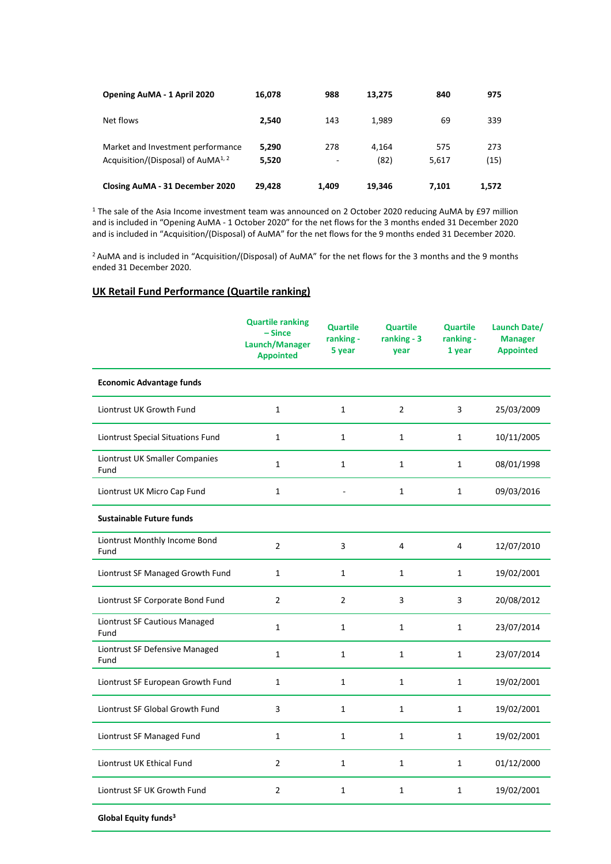| Opening AuMA - 1 April 2020                                                         | 16,078         | 988      | 13.275        | 840          | 975         |
|-------------------------------------------------------------------------------------|----------------|----------|---------------|--------------|-------------|
| Net flows                                                                           | 2.540          | 143      | 1.989         | 69           | 339         |
| Market and Investment performance<br>Acquisition/(Disposal) of AuMA <sup>1, 2</sup> | 5.290<br>5,520 | 278<br>٠ | 4.164<br>(82) | 575<br>5,617 | 273<br>(15) |
| Closing AuMA - 31 December 2020                                                     | 29,428         | 1.409    | 19.346        | 7.101        | 1.572       |

<sup>1</sup> The sale of the Asia Income investment team was announced on 2 October 2020 reducing AuMA by £97 million and is included in "Opening AuMA - 1 October 2020" for the net flows for the 3 months ended 31 December 2020 and is included in "Acquisition/(Disposal) of AuMA" for the net flows for the 9 months ended 31 December 2020.

<sup>2</sup> AuMA and is included in "Acquisition/(Disposal) of AuMA" for the net flows for the 3 months and the 9 months ended 31 December 2020.

## **UK Retail Fund Performance (Quartile ranking)**

|                                        | <b>Quartile ranking</b><br>$-Since$<br>Launch/Manager<br><b>Appointed</b> | <b>Quartile</b><br>ranking -<br>5 year | <b>Quartile</b><br>ranking - 3<br>year | <b>Quartile</b><br>ranking -<br>1 year | Launch Date/<br><b>Manager</b><br><b>Appointed</b> |
|----------------------------------------|---------------------------------------------------------------------------|----------------------------------------|----------------------------------------|----------------------------------------|----------------------------------------------------|
| <b>Economic Advantage funds</b>        |                                                                           |                                        |                                        |                                        |                                                    |
| Liontrust UK Growth Fund               | 1                                                                         | $\mathbf{1}$                           | $\overline{2}$                         | 3                                      | 25/03/2009                                         |
| Liontrust Special Situations Fund      | $\mathbf{1}$                                                              | $\mathbf{1}$                           | $\mathbf{1}$                           | $\mathbf{1}$                           | 10/11/2005                                         |
| Liontrust UK Smaller Companies<br>Fund | $\mathbf{1}$                                                              | $\mathbf{1}$                           | 1                                      | $\mathbf{1}$                           | 08/01/1998                                         |
| Liontrust UK Micro Cap Fund            | $\mathbf{1}$                                                              |                                        | $\mathbf{1}$                           | $\mathbf{1}$                           | 09/03/2016                                         |
| <b>Sustainable Future funds</b>        |                                                                           |                                        |                                        |                                        |                                                    |
| Liontrust Monthly Income Bond<br>Fund  | $\overline{2}$                                                            | 3                                      | 4                                      | 4                                      | 12/07/2010                                         |
| Liontrust SF Managed Growth Fund       | $\mathbf{1}$                                                              | $\mathbf{1}$                           | $\mathbf{1}$                           | $\mathbf{1}$                           | 19/02/2001                                         |
| Liontrust SF Corporate Bond Fund       | $\overline{2}$                                                            | $\overline{2}$                         | 3                                      | 3                                      | 20/08/2012                                         |
| Liontrust SF Cautious Managed<br>Fund  | $\mathbf{1}$                                                              | $\mathbf{1}$                           | $\mathbf{1}$                           | $\mathbf{1}$                           | 23/07/2014                                         |
| Liontrust SF Defensive Managed<br>Fund | $\mathbf{1}$                                                              | $\mathbf{1}$                           | $\mathbf{1}$                           | $\mathbf{1}$                           | 23/07/2014                                         |
| Liontrust SF European Growth Fund      | $\mathbf{1}$                                                              | $\mathbf{1}$                           | $\mathbf{1}$                           | $\mathbf{1}$                           | 19/02/2001                                         |
| Liontrust SF Global Growth Fund        | 3                                                                         | $\mathbf{1}$                           | $\mathbf{1}$                           | $\mathbf{1}$                           | 19/02/2001                                         |
| Liontrust SF Managed Fund              | $\mathbf{1}$                                                              | $\mathbf{1}$                           | $\mathbf{1}$                           | $\mathbf{1}$                           | 19/02/2001                                         |
| Liontrust UK Ethical Fund              | $\overline{2}$                                                            | $\mathbf{1}$                           | $\mathbf{1}$                           | $\mathbf{1}$                           | 01/12/2000                                         |
| Liontrust SF UK Growth Fund            | $\overline{2}$                                                            | $\mathbf{1}$                           | 1                                      | $\mathbf{1}$                           | 19/02/2001                                         |

**Global Equity funds3**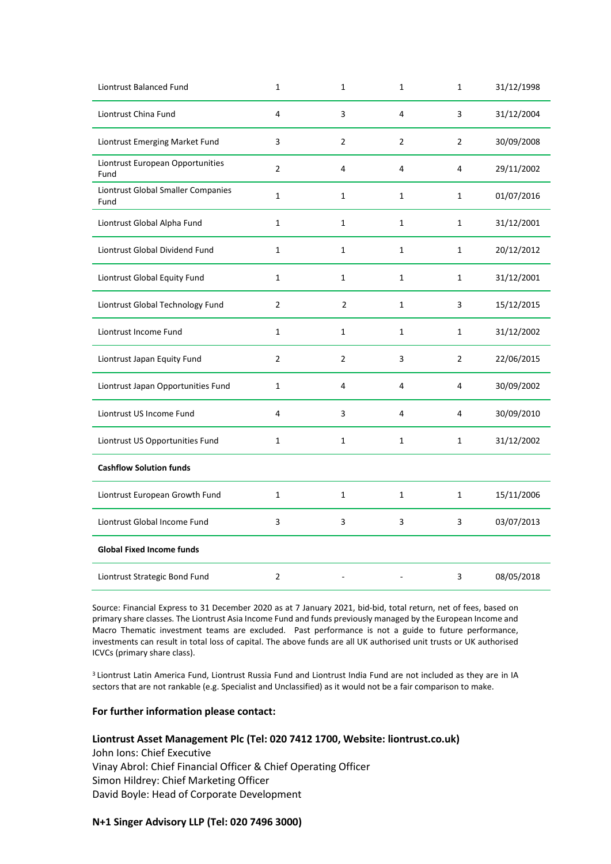| Liontrust Balanced Fund                    | $\mathbf{1}$   | $\mathbf{1}$   | $\mathbf{1}$   | $\mathbf{1}$   | 31/12/1998 |
|--------------------------------------------|----------------|----------------|----------------|----------------|------------|
| Liontrust China Fund                       | 4              | 3              | 4              | 3              | 31/12/2004 |
| Liontrust Emerging Market Fund             | 3              | $\overline{2}$ | $\overline{2}$ | $\overline{2}$ | 30/09/2008 |
| Liontrust European Opportunities<br>Fund   | $\overline{2}$ | 4              | 4              | 4              | 29/11/2002 |
| Liontrust Global Smaller Companies<br>Fund | $\mathbf{1}$   | $\mathbf{1}$   | $\mathbf{1}$   | $\mathbf{1}$   | 01/07/2016 |
| Liontrust Global Alpha Fund                | $\mathbf{1}$   | $\mathbf{1}$   | $\mathbf{1}$   | $\mathbf{1}$   | 31/12/2001 |
| Liontrust Global Dividend Fund             | $\mathbf{1}$   | $\mathbf{1}$   | $\mathbf{1}$   | $\mathbf{1}$   | 20/12/2012 |
| Liontrust Global Equity Fund               | $\mathbf{1}$   | $\mathbf{1}$   | $\mathbf{1}$   | $\mathbf{1}$   | 31/12/2001 |
| Liontrust Global Technology Fund           | $\overline{2}$ | $\overline{2}$ | $\mathbf{1}$   | 3              | 15/12/2015 |
| Liontrust Income Fund                      | $\mathbf{1}$   | $\mathbf{1}$   | $\mathbf 1$    | $\mathbf{1}$   | 31/12/2002 |
| Liontrust Japan Equity Fund                | $\overline{2}$ | $\overline{2}$ | 3              | 2              | 22/06/2015 |
| Liontrust Japan Opportunities Fund         | $\mathbf{1}$   | 4              | 4              | 4              | 30/09/2002 |
| Liontrust US Income Fund                   | 4              | 3              | 4              | 4              | 30/09/2010 |
| Liontrust US Opportunities Fund            | $\mathbf{1}$   | $\mathbf{1}$   | $\mathbf{1}$   | $\mathbf{1}$   | 31/12/2002 |
| <b>Cashflow Solution funds</b>             |                |                |                |                |            |
| Liontrust European Growth Fund             | $\mathbf{1}$   | $\mathbf{1}$   | $\mathbf{1}$   | $\mathbf{1}$   | 15/11/2006 |
| Liontrust Global Income Fund               | $\mathsf{3}$   | 3              | 3              | 3              | 03/07/2013 |
| <b>Global Fixed Income funds</b>           |                |                |                |                |            |
| Liontrust Strategic Bond Fund              | 2              |                |                | 3              | 08/05/2018 |

Source: Financial Express to 31 December 2020 as at 7 January 2021, bid-bid, total return, net of fees, based on primary share classes. The Liontrust Asia Income Fund and funds previously managed by the European Income and Macro Thematic investment teams are excluded. Past performance is not a guide to future performance, investments can result in total loss of capital. The above funds are all UK authorised unit trusts or UK authorised ICVCs (primary share class).

<sup>3</sup> Liontrust Latin America Fund, Liontrust Russia Fund and Liontrust India Fund are not included as they are in IA sectors that are not rankable (e.g. Specialist and Unclassified) as it would not be a fair comparison to make.

### **For further information please contact:**

### **Liontrust Asset Management Plc (Tel: 020 7412 1700, Website: liontrust.co.uk)**

John Ions: Chief Executive Vinay Abrol: Chief Financial Officer & Chief Operating Officer Simon Hildrey: Chief Marketing Officer David Boyle: Head of Corporate Development

### **N+1 Singer Advisory LLP (Tel: 020 7496 3000)**